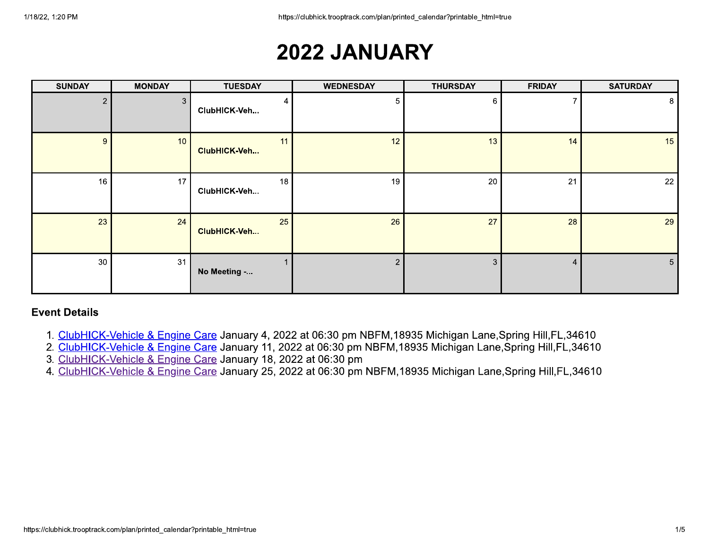# 2022 JANUARY

| <b>SUNDAY</b>  | <b>MONDAY</b>   | <b>TUESDAY</b>     | <b>WEDNESDAY</b> | <b>THURSDAY</b> | <b>FRIDAY</b> | <b>SATURDAY</b> |
|----------------|-----------------|--------------------|------------------|-----------------|---------------|-----------------|
| $\overline{2}$ | 3               | ClubHICK-Veh       | 5                | 6               |               | 8 <sup>1</sup>  |
| 9              | 10 <sup>°</sup> | 11<br>ClubHICK-Veh | 12               | 13              | 14            | 15              |
| 16             | 17              | 18<br>ClubHICK-Veh | 19               | 20              | 21            | 22              |
| 23             | 24              | 25<br>ClubHICK-Veh | 26               | 27              | 28            | 29              |
| 30             | 31              | No Meeting -       | $\overline{2}$   | 3               | 4             | 5 <sub>1</sub>  |

- 1. ClubHICK-Vehicle & Engine Care January 4, 2022 at 06:30 pm NBFM, 18935 Michigan Lane, Spring Hill, FL, 34610
- 2. ClubHICK-Vehicle & Engine Care January 11, 2022 at 06:30 pm NBFM, 18935 Michigan Lane, Spring Hill, FL, 34610
- 3. ClubHICK-Vehicle & Engine Care January 18, 2022 at 06:30 pm
- 4. ClubHICK-Vehicle & Engine Care January 25, 2022 at 06:30 pm NBFM, 18935 Michigan Lane, Spring Hill, FL, 34610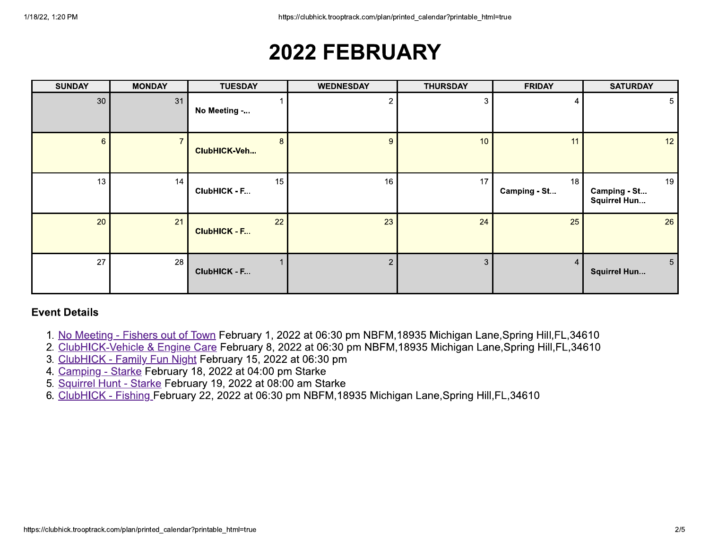# **2022 FEBRUARY**

| <b>SUNDAY</b>  | <b>MONDAY</b> | <b>TUESDAY</b>            | <b>WEDNESDAY</b> | <b>THURSDAY</b> | <b>FRIDAY</b>      | <b>SATURDAY</b>                       |
|----------------|---------------|---------------------------|------------------|-----------------|--------------------|---------------------------------------|
| 30             | 31            | No Meeting -              | 2                | 3               |                    | 5 <sub>1</sub>                        |
| $6\phantom{a}$ |               | 8<br>ClubHICK-Veh         | 9                | 10              | 11                 | 12                                    |
| 13             | 14            | 15<br>ClubHICK - F        | 16               | 17              | 18<br>Camping - St | 19<br>Camping - St<br>Squirrel Hun    |
| 20             | 21            | 22<br><b>ClubHICK - F</b> | 23               | 24              | 25                 | 26                                    |
| 27             | 28            | ClubHICK - F              | $\overline{2}$   | 3               | 4                  | 5 <sup>1</sup><br><b>Squirrel Hun</b> |

- 1. No Meeting Fishers out of Town February 1, 2022 at 06:30 pm NBFM, 18935 Michigan Lane, Spring Hill, FL, 34610
- 2. ClubHICK-Vehicle & Engine Care February 8, 2022 at 06:30 pm NBFM, 18935 Michigan Lane, Spring Hill, FL, 34610
- 3. ClubHICK Family Fun Night February 15, 2022 at 06:30 pm
- 4. Camping Starke February 18, 2022 at 04:00 pm Starke
- 5. Squirrel Hunt Starke February 19, 2022 at 08:00 am Starke
- 6. ClubHICK Fishing February 22, 2022 at 06:30 pm NBFM, 18935 Michigan Lane, Spring Hill, FL, 34610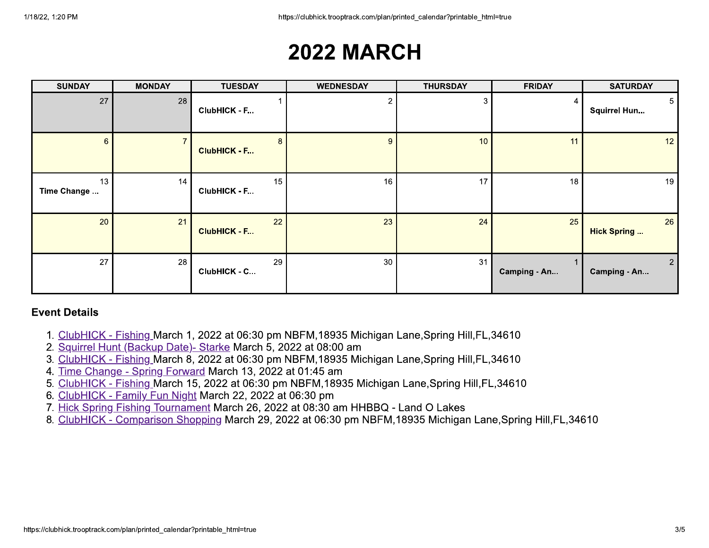## **2022 MARCH**

| <b>SUNDAY</b>     | <b>MONDAY</b> | <b>TUESDAY</b>                        | <b>WEDNESDAY</b> | <b>THURSDAY</b> | <b>FRIDAY</b> | <b>SATURDAY</b>                       |
|-------------------|---------------|---------------------------------------|------------------|-----------------|---------------|---------------------------------------|
| 27                | 28            | ClubHICK - F                          | っ                | 3               |               | 5 <sup>1</sup><br><b>Squirrel Hun</b> |
| $\sqrt{6}$        |               | 8 <sup>°</sup><br><b>ClubHICK - F</b> | 9                | 10              | 11            | 12 <sup>°</sup>                       |
| 13<br>Time Change | 14            | 15<br>ClubHICK - F                    | 16               | 17              | 18            | 19                                    |
| 20                | 21            | 22<br><b>ClubHICK - F</b>             | 23               | 24              | 25            | 26<br><b>Hick Spring </b>             |
| 27                | 28            | 29<br>ClubHICK - C                    | 30               | 31              | Camping - An  | $\overline{2}$<br>Camping - An        |

- 1. ClubHICK Fishing March 1, 2022 at 06:30 pm NBFM, 18935 Michigan Lane, Spring Hill, FL, 34610
- 2. Squirrel Hunt (Backup Date) Starke March 5, 2022 at 08:00 am
- 3. ClubHICK Fishing March 8, 2022 at 06:30 pm NBFM, 18935 Michigan Lane, Spring Hill, FL, 34610
- 4. Time Change Spring Forward March 13, 2022 at 01:45 am
- 5. ClubHICK Fishing March 15, 2022 at 06:30 pm NBFM, 18935 Michigan Lane, Spring Hill, FL, 34610
- 6. ClubHICK Family Fun Night March 22, 2022 at 06:30 pm
- 7. Hick Spring Fishing Tournament March 26, 2022 at 08:30 am HHBBQ Land O Lakes
- 8. ClubHICK Comparison Shopping March 29, 2022 at 06:30 pm NBFM, 18935 Michigan Lane, Spring Hill, FL, 34610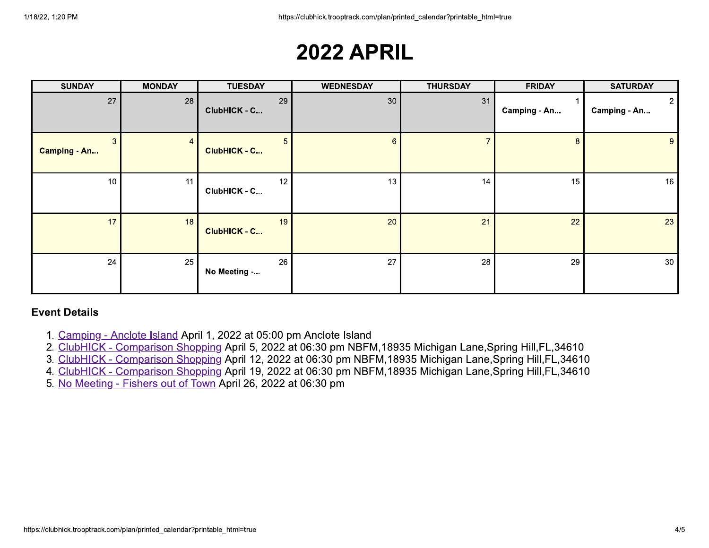## **2022 APRIL**

| <b>SUNDAY</b>            | <b>MONDAY</b> | <b>TUESDAY</b>                 | <b>WEDNESDAY</b> | <b>THURSDAY</b> | <b>FRIDAY</b> | <b>SATURDAY</b>          |
|--------------------------|---------------|--------------------------------|------------------|-----------------|---------------|--------------------------|
| 27                       | 28            | 29<br>ClubHICK - C             | 30               | 31              | Camping - An  | $2 \mid$<br>Camping - An |
| 3<br><b>Camping - An</b> | 4             | 5 <sub>5</sub><br>ClubHICK - C | $6^{\circ}$      |                 | 8             | 9 <sup>1</sup>           |
| 10                       | 11            | 12<br>ClubHICK - C             | 13               | 14              | 15            | 16                       |
| 17                       | 18            | 19<br>ClubHICK - C             | 20               | 21              | 22            | 23                       |
| 24                       | 25            | 26<br>No Meeting -             | 27               | 28              | 29            | 30 <sub>o</sub>          |

- 1. Camping Anclote Island April 1, 2022 at 05:00 pm Anclote Island
- 2. ClubHICK Comparison Shopping April 5, 2022 at 06:30 pm NBFM, 18935 Michigan Lane, Spring Hill, FL, 34610
- 3. ClubHICK Comparison Shopping April 12, 2022 at 06:30 pm NBFM, 18935 Michigan Lane, Spring Hill, FL, 34610
- 4. ClubHICK Comparison Shopping April 19, 2022 at 06:30 pm NBFM, 18935 Michigan Lane, Spring Hill, FL, 34610
- 5. No Meeting Fishers out of Town April 26, 2022 at 06:30 pm